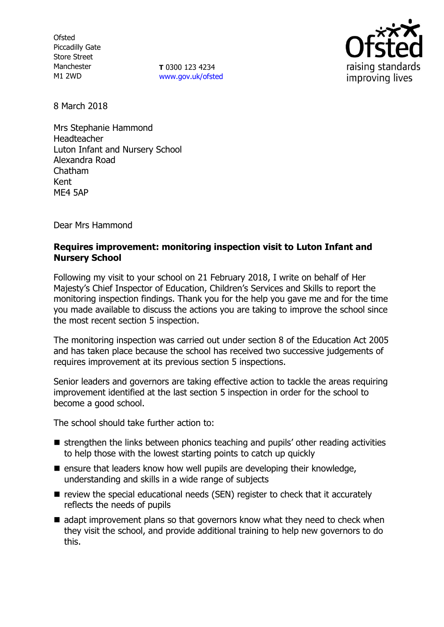**Ofsted** Piccadilly Gate Store Street Manchester M1 2WD

**T** 0300 123 4234 [www.gov.uk/ofsted](http://www.gov.uk/ofsted)



8 March 2018

Mrs Stephanie Hammond Headteacher Luton Infant and Nursery School Alexandra Road Chatham Kent ME4 5AP

Dear Mrs Hammond

## **Requires improvement: monitoring inspection visit to Luton Infant and Nursery School**

Following my visit to your school on 21 February 2018, I write on behalf of Her Majesty's Chief Inspector of Education, Children's Services and Skills to report the monitoring inspection findings. Thank you for the help you gave me and for the time you made available to discuss the actions you are taking to improve the school since the most recent section 5 inspection.

The monitoring inspection was carried out under section 8 of the Education Act 2005 and has taken place because the school has received two successive judgements of requires improvement at its previous section 5 inspections.

Senior leaders and governors are taking effective action to tackle the areas requiring improvement identified at the last section 5 inspection in order for the school to become a good school.

The school should take further action to:

- $\blacksquare$  strengthen the links between phonics teaching and pupils' other reading activities to help those with the lowest starting points to catch up quickly
- $\blacksquare$  ensure that leaders know how well pupils are developing their knowledge, understanding and skills in a wide range of subjects
- $\blacksquare$  review the special educational needs (SEN) register to check that it accurately reflects the needs of pupils
- $\blacksquare$  adapt improvement plans so that governors know what they need to check when they visit the school, and provide additional training to help new governors to do this.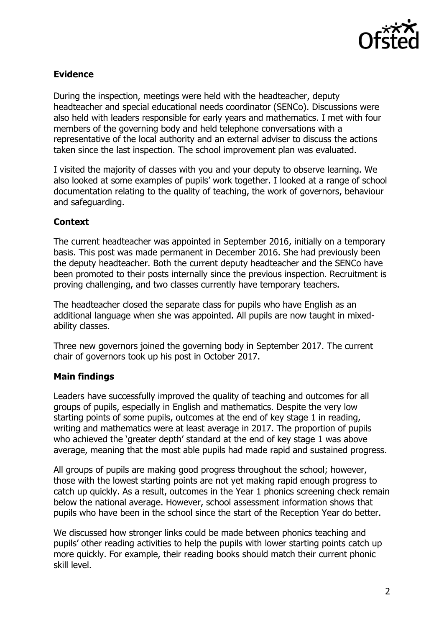

## **Evidence**

During the inspection, meetings were held with the headteacher, deputy headteacher and special educational needs coordinator (SENCo). Discussions were also held with leaders responsible for early years and mathematics. I met with four members of the governing body and held telephone conversations with a representative of the local authority and an external adviser to discuss the actions taken since the last inspection. The school improvement plan was evaluated.

I visited the majority of classes with you and your deputy to observe learning. We also looked at some examples of pupils' work together. I looked at a range of school documentation relating to the quality of teaching, the work of governors, behaviour and safeguarding.

# **Context**

The current headteacher was appointed in September 2016, initially on a temporary basis. This post was made permanent in December 2016. She had previously been the deputy headteacher. Both the current deputy headteacher and the SENCo have been promoted to their posts internally since the previous inspection. Recruitment is proving challenging, and two classes currently have temporary teachers.

The headteacher closed the separate class for pupils who have English as an additional language when she was appointed. All pupils are now taught in mixedability classes.

Three new governors joined the governing body in September 2017. The current chair of governors took up his post in October 2017.

## **Main findings**

Leaders have successfully improved the quality of teaching and outcomes for all groups of pupils, especially in English and mathematics. Despite the very low starting points of some pupils, outcomes at the end of key stage 1 in reading, writing and mathematics were at least average in 2017. The proportion of pupils who achieved the 'greater depth' standard at the end of key stage 1 was above average, meaning that the most able pupils had made rapid and sustained progress.

All groups of pupils are making good progress throughout the school; however, those with the lowest starting points are not yet making rapid enough progress to catch up quickly. As a result, outcomes in the Year 1 phonics screening check remain below the national average. However, school assessment information shows that pupils who have been in the school since the start of the Reception Year do better.

We discussed how stronger links could be made between phonics teaching and pupils' other reading activities to help the pupils with lower starting points catch up more quickly. For example, their reading books should match their current phonic skill level.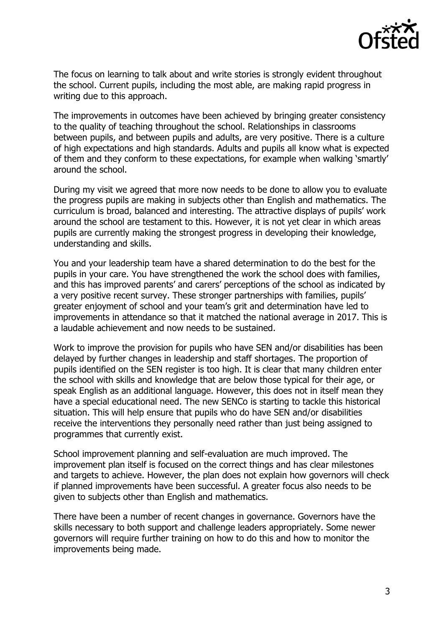

The focus on learning to talk about and write stories is strongly evident throughout the school. Current pupils, including the most able, are making rapid progress in writing due to this approach.

The improvements in outcomes have been achieved by bringing greater consistency to the quality of teaching throughout the school. Relationships in classrooms between pupils, and between pupils and adults, are very positive. There is a culture of high expectations and high standards. Adults and pupils all know what is expected of them and they conform to these expectations, for example when walking 'smartly' around the school.

During my visit we agreed that more now needs to be done to allow you to evaluate the progress pupils are making in subjects other than English and mathematics. The curriculum is broad, balanced and interesting. The attractive displays of pupils' work around the school are testament to this. However, it is not yet clear in which areas pupils are currently making the strongest progress in developing their knowledge, understanding and skills.

You and your leadership team have a shared determination to do the best for the pupils in your care. You have strengthened the work the school does with families, and this has improved parents' and carers' perceptions of the school as indicated by a very positive recent survey. These stronger partnerships with families, pupils' greater enjoyment of school and your team's grit and determination have led to improvements in attendance so that it matched the national average in 2017. This is a laudable achievement and now needs to be sustained.

Work to improve the provision for pupils who have SEN and/or disabilities has been delayed by further changes in leadership and staff shortages. The proportion of pupils identified on the SEN register is too high. It is clear that many children enter the school with skills and knowledge that are below those typical for their age, or speak English as an additional language. However, this does not in itself mean they have a special educational need. The new SENCo is starting to tackle this historical situation. This will help ensure that pupils who do have SEN and/or disabilities receive the interventions they personally need rather than just being assigned to programmes that currently exist.

School improvement planning and self-evaluation are much improved. The improvement plan itself is focused on the correct things and has clear milestones and targets to achieve. However, the plan does not explain how governors will check if planned improvements have been successful. A greater focus also needs to be given to subjects other than English and mathematics.

There have been a number of recent changes in governance. Governors have the skills necessary to both support and challenge leaders appropriately. Some newer governors will require further training on how to do this and how to monitor the improvements being made.